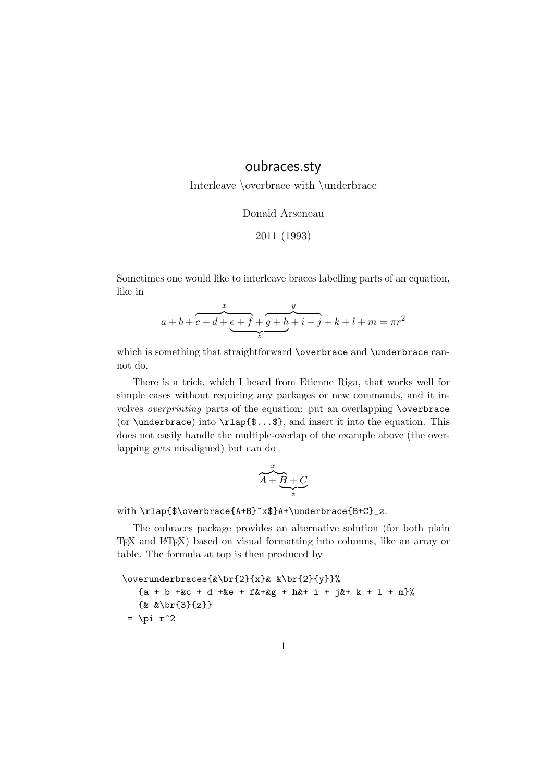## oubraces.sty

Interleave \overbrace with \underbrace

Donald Arseneau

2011 (1993)

Sometimes one would like to interleave braces labelling parts of an equation, like in

$$
a+b+c+d+e+f+g+h+i+j+k+l+m=\pi r^2
$$

which is something that straightforward \overbrace and \underbrace cannot do.

There is a trick, which I heard from Etienne Riga, that works well for simple cases without requiring any packages or new commands, and it involves overprinting parts of the equation: put an overlapping \overbrace (or \underbrace) into  $\rathinspace \rightharpoonup$  if  $\arctan \arrows$ , and insert it into the equation. This does not easily handle the multiple-overlap of the example above (the overlapping gets misaligned) but can do

$$
\overbrace{A+B+C}^{x}
$$

with \rlap{\$\overbrace{A+B}^x\$}A+\underbrace{B+C}\_z.

The oubraces package provides an alternative solution (for both plain TEX and LATEX) based on visual formatting into columns, like an array or table. The formula at top is then produced by

\overunderbraces{&\br{2}{x}& &\br{2}{y}}% {a + b +&c + d +&e + f&+&g + h&+ i + j&+ k + l + m}% {& &\br{3}{z}}  $= \pi r^2$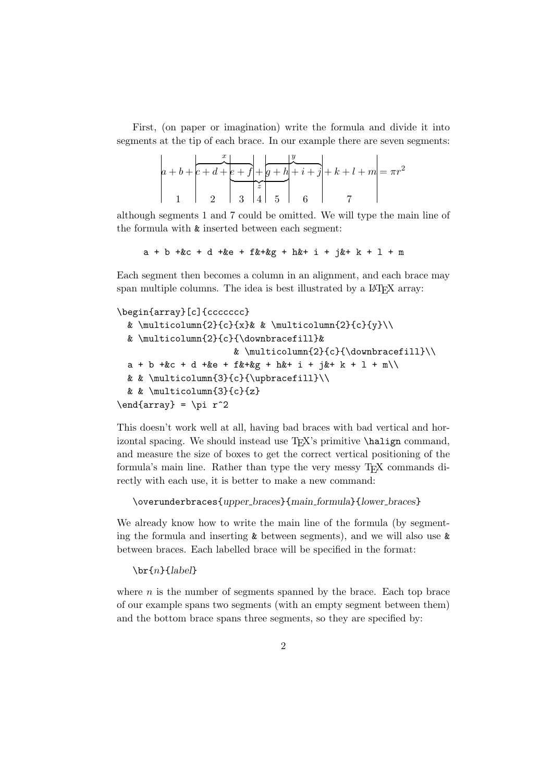First, (on paper or imagination) write the formula and divide it into segments at the tip of each brace. In our example there are seven segments:

$$
a+b+\frac{x}{c+d+e+f}+\frac{y}{g+h}+\frac{y}{i+j}+k+l+m = \pi r^2
$$

although segments 1 and 7 could be omitted. We will type the main line of the formula with & inserted between each segment:

```
a + b +c + d + e + f k + k + h + i + j + k + 1 + m
```
Each segment then becomes a column in an alignment, and each brace may span multiple columns. The idea is best illustrated by a LAT<sub>E</sub>X array:

```
\begin{array}[c]{ccccccc}
```

```
& \multicolumn{2}{c}{x}& & \multicolumn{2}{c}{y}\\
    & \multicolumn{2}{c}{\downbracefill}&
                                                 & \multicolumn{2}{c}{\downbracefill}\\
    a + b +c + d + c + f k + \frac{c}{c} + \frac{c}{c} + \frac{c}{c} + \frac{c}{c} + \frac{c}{c} + \frac{c}{c} + \frac{c}{c} + \frac{c}{c} + \frac{c}{c} + \frac{c}{c} + \frac{c}{c} + \frac{c}{c} + \frac{c}{c} + \frac{c}{c} + \frac{c}{c} + \frac{c}{c} + \frac{c}{c} + \frac{c}{c} + \frac{c}{c} + \frac{c}{c} + \frac{c}{c} + \frac{c}{c} + \frac{c}{c} + \frac{c}{c} + \frac{c}{c} + \frac{c& & \multicolumn{3}{c}{\upbracefill}\\
    & & \multicolumn{3}{c}{z}
\end{array} = \pi r^2
```
This doesn't work well at all, having bad braces with bad vertical and horizontal spacing. We should instead use TEX's primitive **\halign** command, and measure the size of boxes to get the correct vertical positioning of the formula's main line. Rather than type the very messy TEX commands directly with each use, it is better to make a new command:

\overunderbraces{upper braces}{main formula}{lower braces}

We already know how to write the main line of the formula (by segmenting the formula and inserting  $\&$  between segments), and we will also use  $\&$ between braces. Each labelled brace will be specified in the format:

 $\bar{n}{label}$ 

where  $n$  is the number of segments spanned by the brace. Each top brace of our example spans two segments (with an empty segment between them) and the bottom brace spans three segments, so they are specified by: